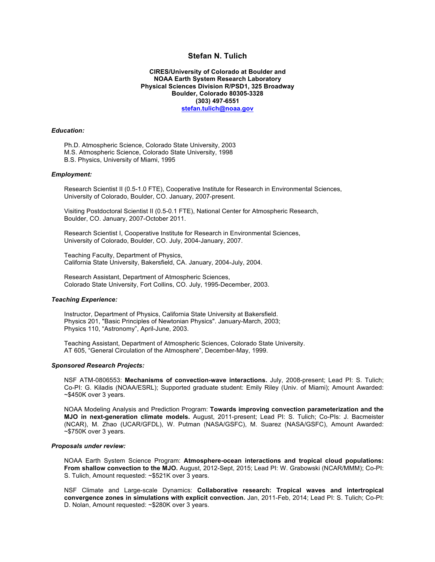# **Stefan N. Tulich**

**CIRES/University of Colorado at Boulder and NOAA Earth System Research Laboratory Physical Sciences Division R/PSD1, 325 Broadway Boulder, Colorado 80305-3328 (303) 497-6551 stefan.tulich@noaa.gov**

#### *Education:*

Ph.D. Atmospheric Science, Colorado State University, 2003 M.S. Atmospheric Science, Colorado State University, 1998 B.S. Physics, University of Miami, 1995

### *Employment:*

Research Scientist II (0.5-1.0 FTE), Cooperative Institute for Research in Environmental Sciences, University of Colorado, Boulder, CO. January, 2007-present.

Visiting Postdoctoral Scientist II (0.5-0.1 FTE), National Center for Atmospheric Research, Boulder, CO. January, 2007-October 2011.

Research Scientist I, Cooperative Institute for Research in Environmental Sciences, University of Colorado, Boulder, CO. July, 2004-January, 2007.

Teaching Faculty, Department of Physics, California State University, Bakersfield, CA. January, 2004-July, 2004.

Research Assistant, Department of Atmospheric Sciences, Colorado State University, Fort Collins, CO. July, 1995-December, 2003.

#### *Teaching Experience:*

Instructor, Department of Physics, California State University at Bakersfield. Physics 201, "Basic Principles of Newtonian Physics". January-March, 2003; Physics 110, "Astronomy", April-June, 2003.

Teaching Assistant, Department of Atmospheric Sciences, Colorado State University. AT 605, "General Circulation of the Atmosphere", December-May, 1999.

### *Sponsored Research Projects:*

NSF ATM-0806553: **Mechanisms of convection-wave interactions.** July, 2008-present; Lead PI: S. Tulich; Co-PI: G. Kiladis (NOAA/ESRL); Supported graduate student: Emily Riley (Univ. of Miami); Amount Awarded: ~\$450K over 3 years.

NOAA Modeling Analysis and Prediction Program: **Towards improving convection parameterization and the MJO in next-generation climate models.** August, 2011-present; Lead PI: S. Tulich; Co-PIs: J. Bacmeister (NCAR), M. Zhao (UCAR/GFDL), W. Putman (NASA/GSFC), M. Suarez (NASA/GSFC), Amount Awarded: ~\$750K over 3 years.

#### *Proposals under review:*

NOAA Earth System Science Program: **Atmosphere-ocean interactions and tropical cloud populations: From shallow convection to the MJO.** August, 2012-Sept, 2015; Lead PI: W. Grabowski (NCAR/MMM); Co-PI: S. Tulich, Amount requested: ~\$521K over 3 years.

NSF Climate and Large-scale Dynamics: **Collaborative research: Tropical waves and intertropical convergence zones in simulations with explicit convection.** Jan, 2011-Feb, 2014; Lead PI: S. Tulich; Co-PI: D. Nolan, Amount requested: ~\$280K over 3 years.